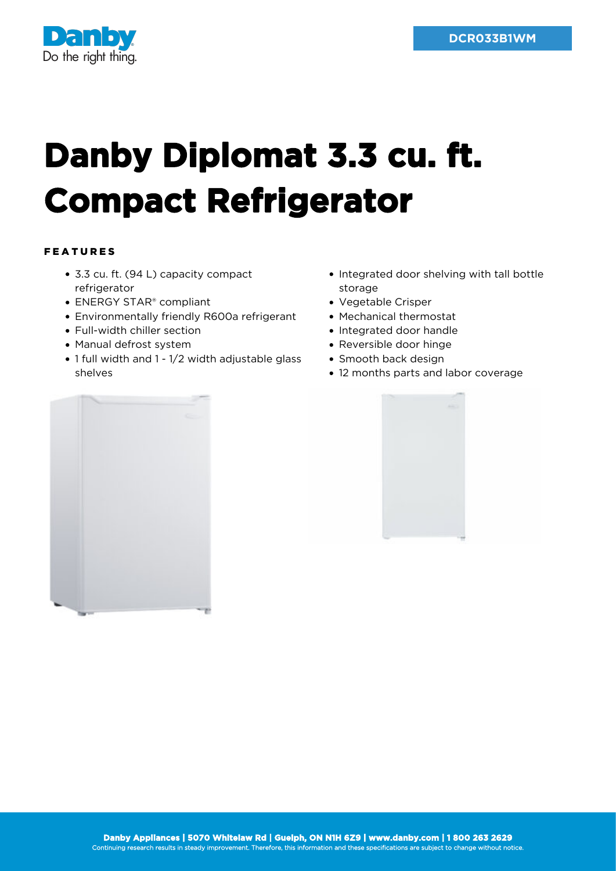

## **Danby Diplomat 3.3 cu. ft. Compact Refrigerator**

## FEATURES

- 3.3 cu. ft. (94 L) capacity compact refrigerator
- ENERGY STAR<sup>®</sup> compliant
- Environmentally friendly R600a refrigerant
- Full-width chiller section
- Manual defrost system
- 1 full width and 1 1/2 width adjustable glass shelves
- Integrated door shelving with tall bottle storage
- Vegetable Crisper
- Mechanical thermostat
- Integrated door handle
- Reversible door hinge
- Smooth back design
- 12 months parts and labor coverage